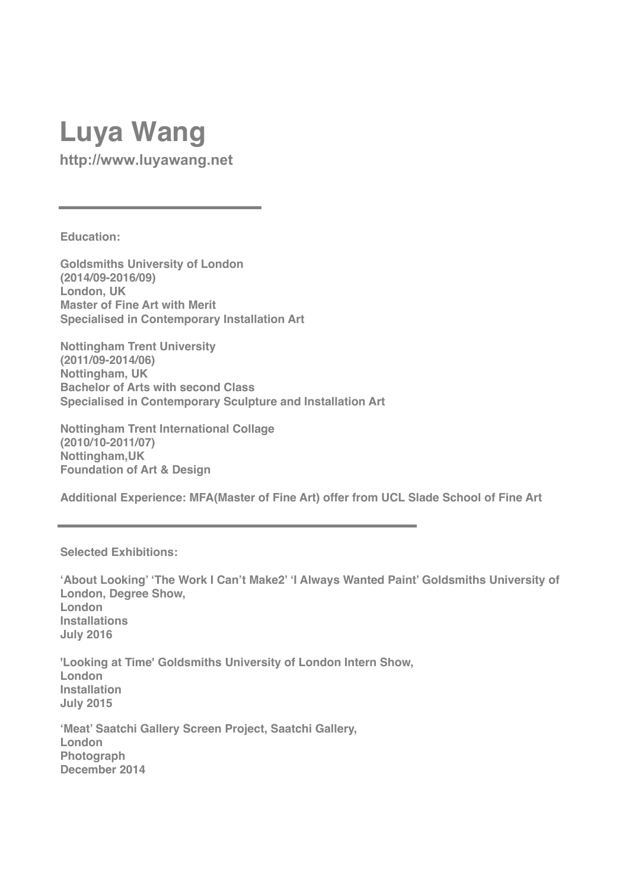## **Lu[ya Wang](mailto:wangluya@hotmail.com)**

**http://www.luyawang.net**

**Education:** 

**Goldsmiths University of London (2014/09-2016/09) London, UK Master of Fine Art with Merit Specialised in Contemporary Installation Art**

**Nottingham Trent University (2011/09-2014/06) Nottingham, UK Bachelor of Arts with second Class Specialised in Contemporary Sculpture and Installation Art** 

**Nottingham Trent International Collage (2010/10-2011/07) Nottingham,UK Foundation of Art & Design** 

**Additional Experience: MFA(Master of Fine Art) offer from UCL Slade School of Fine Art**

## **Selected Exhibitions:**

**'About Looking' 'The Work I Can't Make2' 'I Always Wanted Paint' Goldsmiths University of London, Degree Show, London Installations July 2016**

**'Looking at Time' Goldsmiths University of London Intern Show, London Installation July 2015**

**'Meat' Saatchi Gallery Screen Project, Saatchi Gallery, London Photograph December 2014**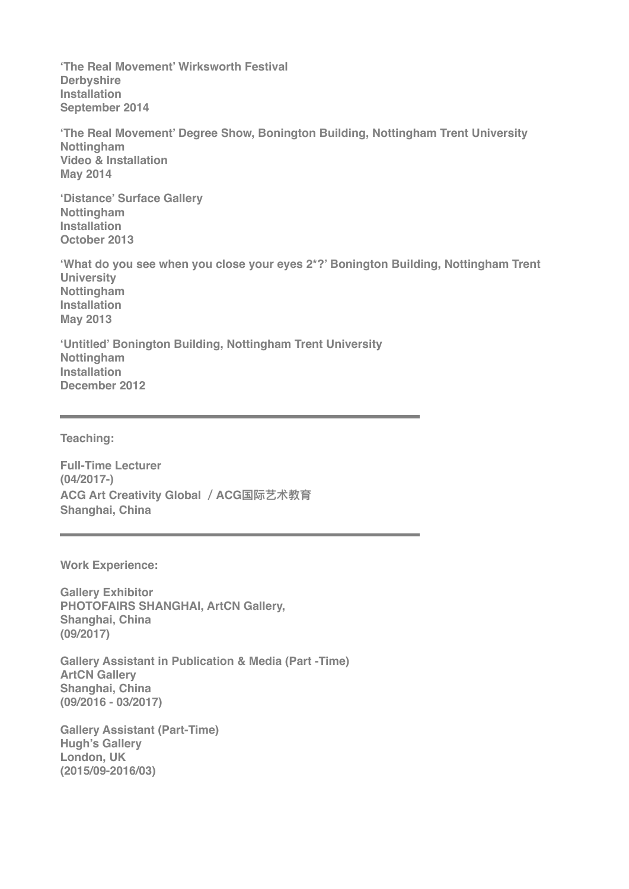**'The Real Movement' Wirksworth Festival Derbyshire Installation September 2014**

**'The Real Movement' Degree Show, Bonington Building, Nottingham Trent University Nottingham Video & Installation May 2014**

**'Distance' Surface Gallery Nottingham Installation October 2013**

**'What do you see when you close your eyes 2\*?' Bonington Building, Nottingham Trent University Nottingham Installation May 2013**

**'Untitled' Bonington Building, Nottingham Trent University Nottingham Installation December 2012**

**Teaching:**

**Full-Time Lecturer (04/2017-) ACG Art Creativity Global / ACG国际艺术教育 Shanghai, China**

**Work Experience:** 

**Gallery Exhibitor PHOTOFAIRS SHANGHAI, ArtCN Gallery, Shanghai, China (09/2017)**

**Gallery Assistant in Publication & Media (Part -Time) ArtCN Gallery Shanghai, China (09/2016 - 03/2017)**

**Gallery Assistant (Part-Time) Hugh's Gallery London, UK (2015/09-2016/03)**